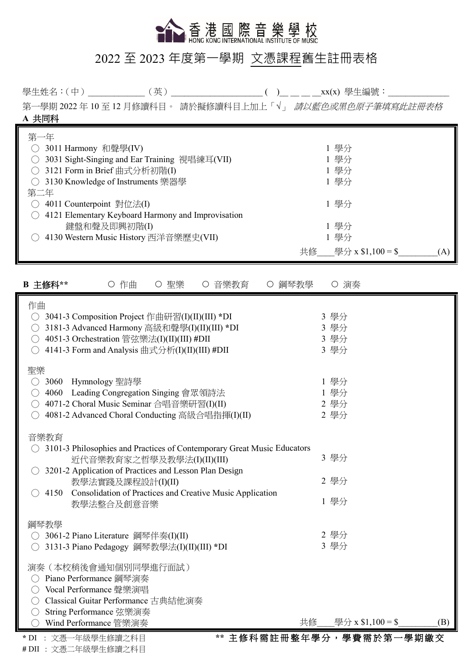

## 2022 至 2023 年度第一學期 文憑課程舊生註冊表格

學生姓名:(中)\_\_\_\_\_\_\_\_\_\_\_\_\_(英)\_\_\_\_\_\_\_\_\_\_\_\_\_\_\_\_\_\_\_\_\_ ( )\_\_ \_\_ \_\_ \_\_xx(x) 學生編號:\_\_\_\_\_\_\_\_\_\_\_\_\_\_

第一學期 2022年10至12月修讀科目。請於擬修讀科目上加上「√」 請以藍色或黑色原子筆填寫此註冊表格 **A** 共同科

| 第一年                                                |                              |
|----------------------------------------------------|------------------------------|
| 3011 Harmony 和聲學(IV)                               | 1 學分                         |
| 3031 Sight-Singing and Ear Training 視唱練耳(VII)      | 1 學分                         |
| 3121 Form in Brief 曲式分析初階(I)                       | 1 學分                         |
| 3130 Knowledge of Instruments 樂器學                  | 1 學分                         |
| 第二年                                                |                              |
| 4011 Counterpoint 對位法(I)                           | 1 學分                         |
| 4121 Elementary Keyboard Harmony and Improvisation |                              |
| 鍵盤和聲及即興初階(I)                                       | 1 學分                         |
| 4130 Western Music History 西洋音樂歷史(VII)             | 1 學分                         |
|                                                    | 學分 x $$1,100 = $$<br>共修<br>Ά |

| B 主修科**                                                                                                                                                                                                                            | ○ 作曲                                                          | 聖樂<br>$\left( \right)$ | 音樂教育 | 鋼琴教學 |    | ○ 演奏                         |     |
|------------------------------------------------------------------------------------------------------------------------------------------------------------------------------------------------------------------------------------|---------------------------------------------------------------|------------------------|------|------|----|------------------------------|-----|
| 作曲<br>3041-3 Composition Project 作曲研習(I)(II)(III) *DI<br>$\bigcirc$<br>3181-3 Advanced Harmony 高級和聲學(I)(II)(III) *DI<br>( )<br>4051-3 Orchestration 管弦樂法(I)(II)(III) #DII<br>( )<br>4141-3 Form and Analysis 曲式分析(I)(II)(III) #DII |                                                               |                        |      |      |    | 3 學分<br>3 學分<br>3 學分<br>3 學分 |     |
| 聖樂<br>3060<br>( )<br>4060<br>4071-2 Choral Music Seminar 合唱音樂研習(I)(II)<br>( )<br>4081-2 Advanced Choral Conducting 高級合唱指揮(I)(II)                                                                                                   | Hymnology 聖詩學<br>Leading Congregation Singing 會眾領詩法           |                        |      |      |    | 1 學分<br>1 學分<br>2 學分<br>2 學分 |     |
| 音樂教育<br>3101-3 Philosophies and Practices of Contemporary Great Music Educators<br>3201-2 Application of Practices and Lesson Plan Design<br>4150 Consolidation of Practices and Creative Music Application                        | 近代音樂教育家之哲學及教學法(I)(II)(III)<br>教學法實踐及課程設計(I)(II)<br>教學法整合及創意音樂 |                        |      |      |    | 3 學分<br>2 學分<br>1 學分         |     |
| 鋼琴教學<br>3061-2 Piano Literature 鋼琴伴奏(I)(II)<br>( )<br>3131-3 Piano Pedagogy 鋼琴教學法(I)(II)(III) *DI                                                                                                                                  |                                                               |                        |      |      |    | 2 學分<br>3 學分                 |     |
| 演奏 (本校稍後會通知個別同學進行面試)<br>Piano Performance 鋼琴演奏<br>Vocal Performance 聲樂演唱<br>Classical Guitar Performance 古典結他演奏<br>( )<br>String Performance 弦樂演奏<br>( )<br>Wind Performance 管樂演奏                                                  |                                                               |                        |      |      | 共修 | 學分 x $$1,100 = $$            | (B) |
| * DI : 文憑一年級學生修讀之科目<br># DII : 文憑二年級學生修讀之科目                                                                                                                                                                                        |                                                               |                        |      |      |    | ** 主修科需註冊整年學分,學費需於第一學期繳交     |     |